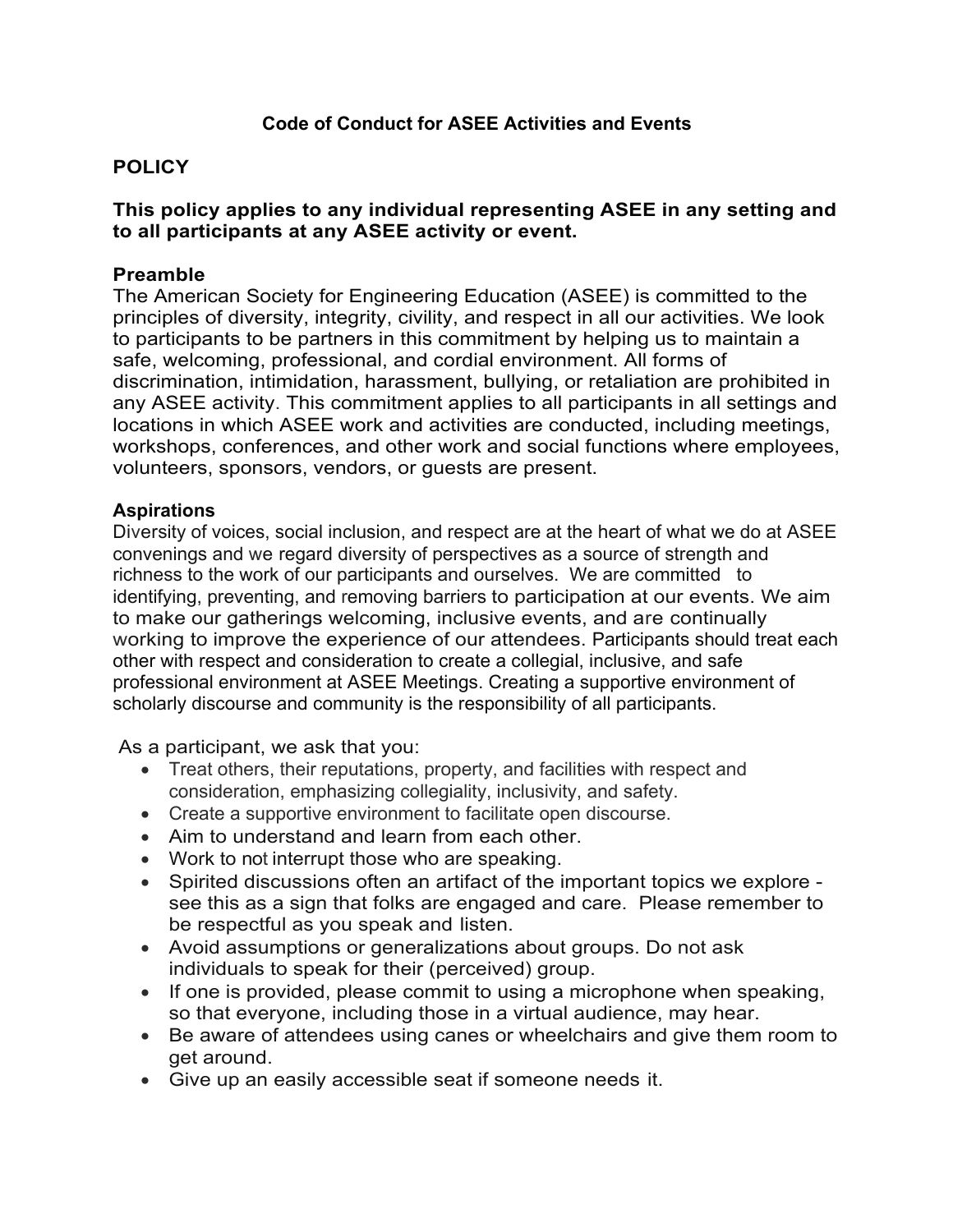# **POLICY**

### **This policy applies to any individual representing ASEE in any setting and to all participants at any ASEE activity or event.**

### **Preamble**

The American Society for Engineering Education (ASEE) is committed to the principles of diversity, integrity, civility, and respect in all our activities. We look to participants to be partners in this commitment by helping us to maintain a safe, welcoming, professional, and cordial environment. All forms of discrimination, intimidation, harassment, bullying, or retaliation are prohibited in any ASEE activity. This commitment applies to all participants in all settings and locations in which ASEE work and activities are conducted, including meetings, workshops, conferences, and other work and social functions where employees, volunteers, sponsors, vendors, or guests are present.

#### **Aspirations**

Diversity of voices, social inclusion, and respect are at the heart of what we do at ASEE convenings and we regard diversity of perspectives as a source of strength and richness to the work of our participants and ourselves. We are committed to identifying, preventing, and removing barriers to participation at our events. We aim to make our gatherings welcoming, inclusive events, and are continually working to improve the experience of our attendees. Participants should treat each other with respect and consideration to create a collegial, inclusive, and safe professional environment at ASEE Meetings. Creating a supportive environment of scholarly discourse and community is the responsibility of all participants.

As a participant, we ask that you:

- Treat others, their reputations, property, and facilities with respect and consideration, emphasizing collegiality, inclusivity, and safety.
- Create a supportive environment to facilitate open discourse.
- Aim to understand and learn from each other.
- Work to not interrupt those who are speaking.
- Spirited discussions often an artifact of the important topics we explore see this as a sign that folks are engaged and care. Please remember to be respectful as you speak and listen.
- Avoid assumptions or generalizations about groups. Do not ask individuals to speak for their (perceived) group.
- If one is provided, please commit to using a microphone when speaking, so that everyone, including those in a virtual audience, may hear.
- Be aware of attendees using canes or wheelchairs and give them room to get around.
- Give up an easily accessible seat if someone needs it.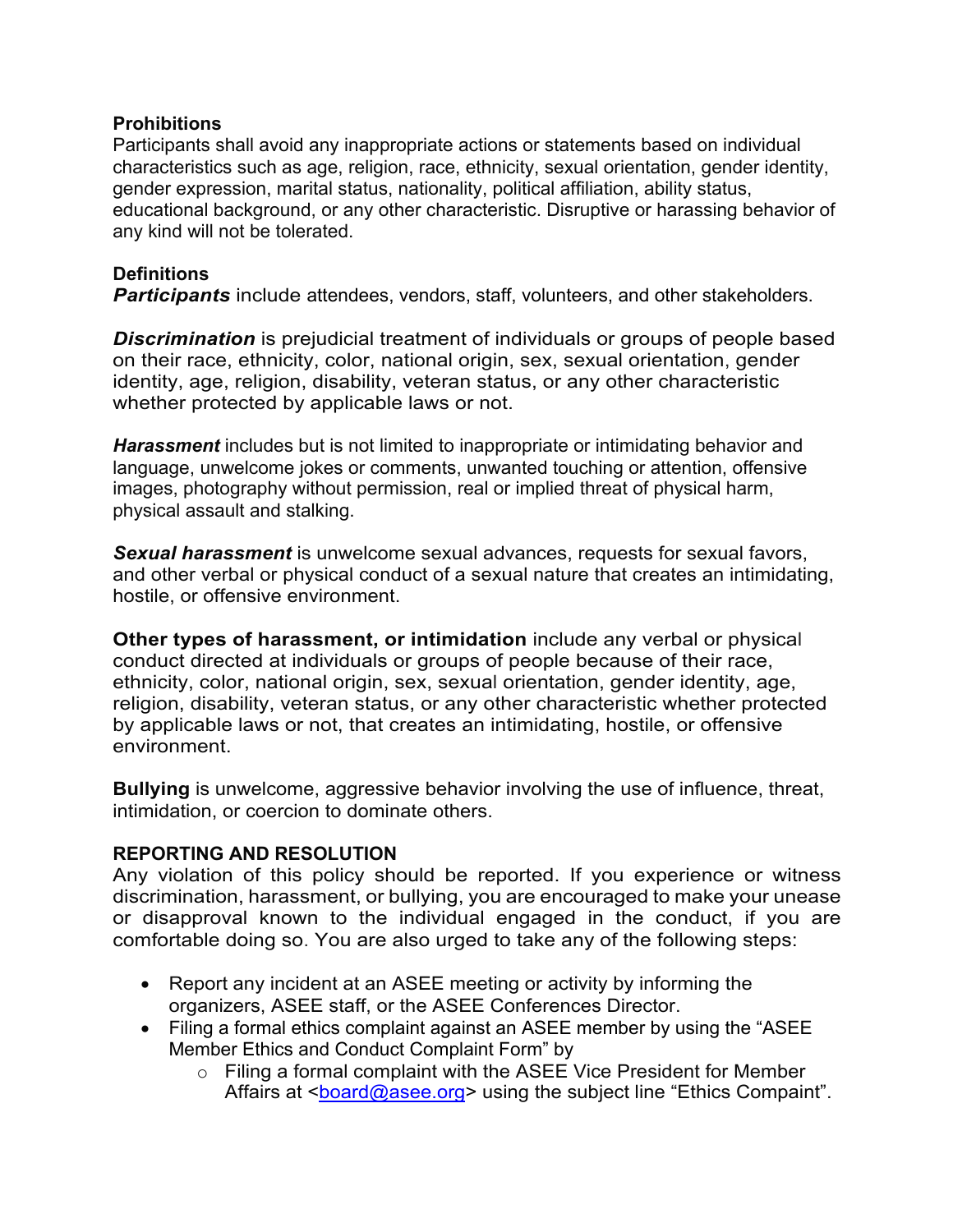### **Prohibitions**

Participants shall avoid any inappropriate actions or statements based on individual characteristics such as age, religion, race, ethnicity, sexual orientation, gender identity, gender expression, marital status, nationality, political affiliation, ability status, educational background, or any other characteristic. Disruptive or harassing behavior of any kind will not be tolerated.

### **Definitions**

*Participants* include attendees, vendors, staff, volunteers, and other stakeholders.

*Discrimination* is prejudicial treatment of individuals or groups of people based on their race, ethnicity, color, national origin, sex, sexual orientation, gender identity, age, religion, disability, veteran status, or any other characteristic whether protected by applicable laws or not.

*Harassment* includes but is not limited to inappropriate or intimidating behavior and language, unwelcome jokes or comments, unwanted touching or attention, offensive images, photography without permission, real or implied threat of physical harm, physical assault and stalking.

*Sexual harassment* is unwelcome sexual advances, requests for sexual favors, and other verbal or physical conduct of a sexual nature that creates an intimidating, hostile, or offensive environment.

**Other types of harassment, or intimidation** include any verbal or physical conduct directed at individuals or groups of people because of their race, ethnicity, color, national origin, sex, sexual orientation, gender identity, age, religion, disability, veteran status, or any other characteristic whether protected by applicable laws or not, that creates an intimidating, hostile, or offensive environment.

**Bullying** is unwelcome, aggressive behavior involving the use of influence, threat, intimidation, or coercion to dominate others.

## **REPORTING AND RESOLUTION**

Any violation of this policy should be reported. If you experience or witness discrimination, harassment, or bullying, you are encouraged to make your unease or disapproval known to the individual engaged in the conduct, if you are comfortable doing so. You are also urged to take any of the following steps:

- Report any incident at an ASEE meeting or activity by informing the organizers, ASEE staff, or the ASEE Conferences Director.
- Filing a formal ethics complaint against an ASEE member by using the "ASEE Member Ethics and Conduct Complaint Form" by
	- $\circ$  Filing a formal complaint with the ASEE Vice President for Member Affairs at <board@asee.org> using the subject line "Ethics Compaint".